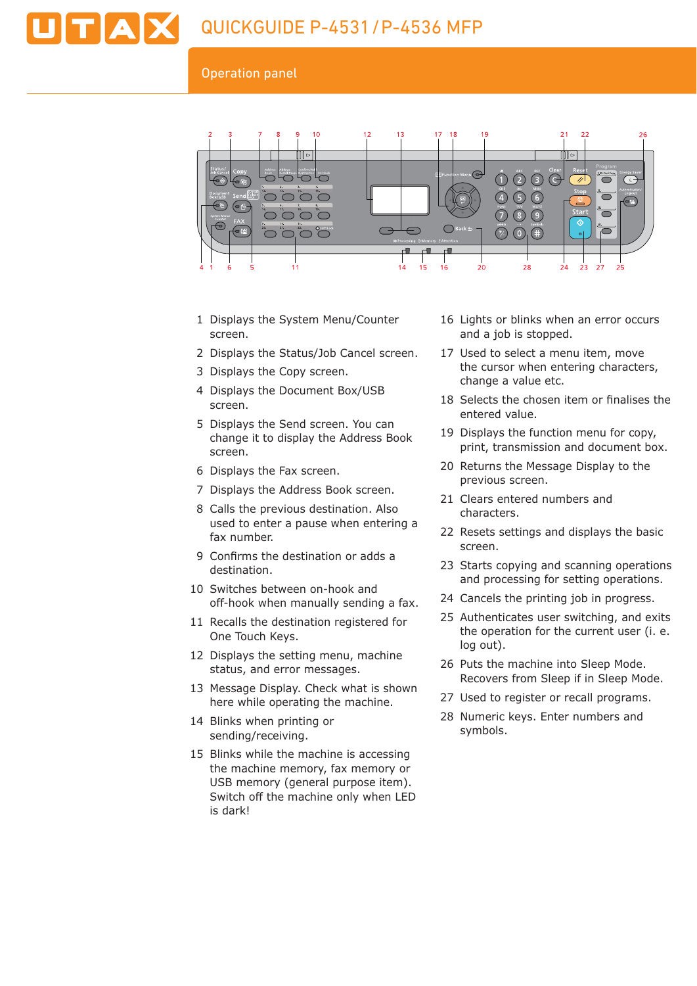

#### Operation panel



- 1 Displays the System Menu/Counter screen.
- 2 Displays the Status/Job Cancel screen.
- 3 Displays the Copy screen.
- 4 Displays the Document Box/USB screen.
- 5 Displays the Send screen. You can change it to display the Address Book screen.
- 6 Displays the Fax screen.
- 7 Displays the Address Book screen.
- 8 Calls the previous destination. Also used to enter a pause when entering a fax number.
- 9 Confirms the destination or adds a destination.
- 10 Switches between on-hook and off-hook when manually sending a fax.
- 11 Recalls the destination registered for One Touch Keys.
- 12 Displays the setting menu, machine status, and error messages.
- 13 Message Display. Check what is shown here while operating the machine.
- 14 Blinks when printing or sending/receiving.
- 15 Blinks while the machine is accessing the machine memory, fax memory or USB memory (general purpose item). Switch off the machine only when LED is dark!
- 16 Lights or blinks when an error occurs and a job is stopped.
- 17 Used to select a menu item, move the cursor when entering characters, change a value etc.
- 18 Selects the chosen item or finalises the entered value.
- 19 Displays the function menu for copy, print, transmission and document box.
- 20 Returns the Message Display to the previous screen.
- 21 Clears entered numbers and characters.
- 22 Resets settings and displays the basic screen.
- 23 Starts copying and scanning operations and processing for setting operations.
- 24 Cancels the printing job in progress.
- 25 Authenticates user switching, and exits the operation for the current user (i. e. log out).
- 26 Puts the machine into Sleep Mode. Recovers from Sleep if in Sleep Mode.
- 27 Used to register or recall programs.
- 28 Numeric keys. Enter numbers and symbols.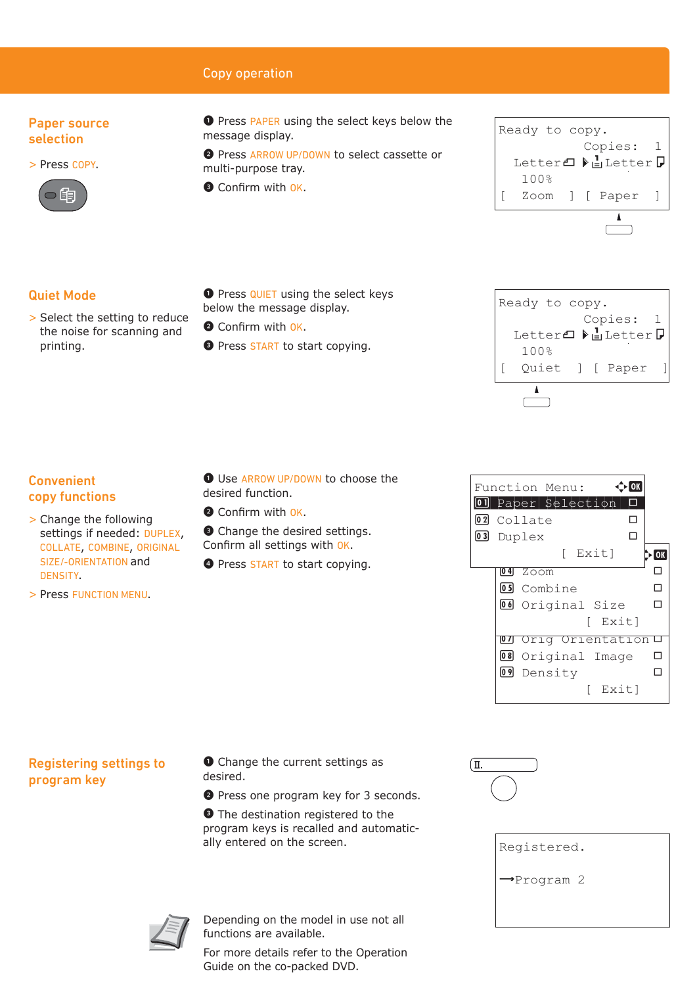## Copy operation

## Paper source selection

> Press COPY.



❶ Press PAPER using the select keys below the message display.

❷ Press ARROW UP/DOWN to select cassette or multi-purpose tray.

Confirm with OK.



## Quiet Mode

> Select the setting to reduce the noise for scanning and printing.

#### **O** Press QUIET using the select keys below the message display.

- **O** Confirm with OK.
- **O** Press START to start copying.



## Convenient copy functions

- > Change the following settings if needed: DUPLEX COLLATE, COMBINE, ORIGINAL SIZE/-ORIENTATION and DENSITY.
- > Press FUNCTION MENU.

❶ Use ARROW UP/DOWN to choose the desired function.

<sup>O</sup> Confirm with OK.

settings. onfirm all setti ngs wi h ok.

copying.

## Registering settings to program key

❶ Change the current settings as desired.

❷ Press one program key for 3 seconds.

❸ The destination registered to the program keys is recalled and automatically entered on the screen.



| Registered.             |  |  |
|-------------------------|--|--|
| $\rightarrow$ Program 2 |  |  |
|                         |  |  |

U Density<br>[ Exit]

**07** Orig Orientation!<br>10 Original Image 1<br>10 Density

UU Original Size L<br>[ Exit] ا Exit)<br><mark>3 Orig Orientation</mark>

[ Exit]

Duplex<br>[ Exit] **Duplex** e | Exit<br>| <mark>04 Zoom</mark> 04 Zoom L<br><mark>03</mark> Combine L 5 Combine I<br><u>•</u> Original Size I

Function Menu:  $\hat{\Phi}$ 

ם Paper|Selection|<br>⊒ Collate

Paper Selection <sup>T</sup>

02 Collate  $\Box$  Duplex  $\Box$ 

02 Collate



Depending on the model in use not all functions are available.

For more details refer to the Operation Guide on the co-packed DVD.

| Х, | <b>O</b> Change the desired   |
|----|-------------------------------|
| L  | Confirm all settings wit      |
|    | <b>4</b> Press START to start |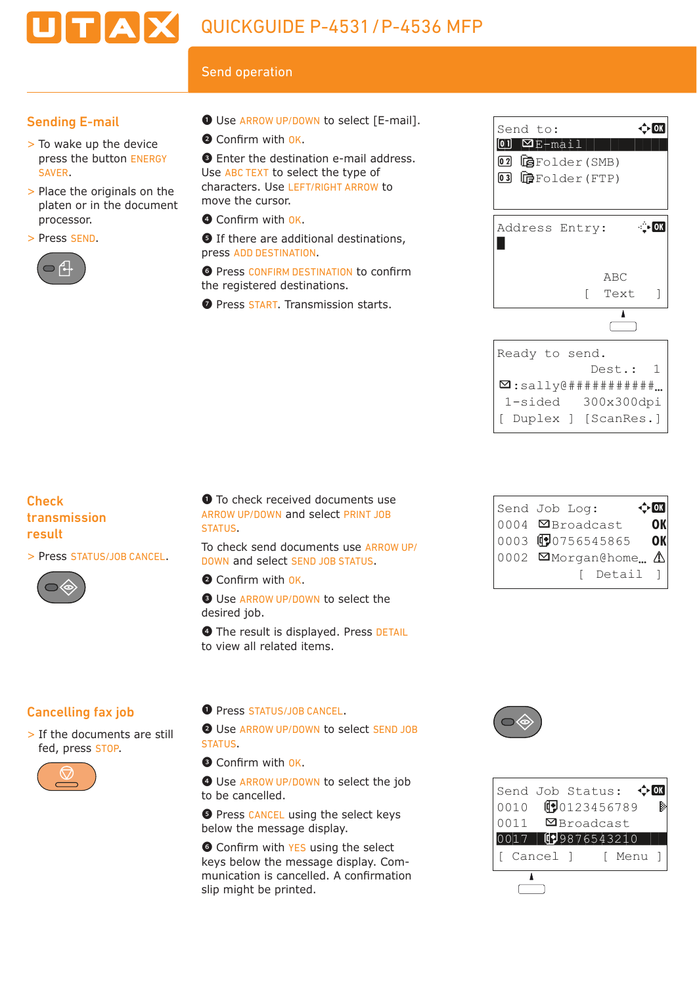# TAX QUICKGUIDE P-4531/P-4536 MFP

# Send operation

## Sending E-mail

- > To wake up the device press the button ENERGY SAVER.
- > Place the originals on the platen or in the document processor.
- > Press SEND.



- ❶ Use ARROW UP/DOWN to select [E-mail].
- <sup>O</sup> Confirm with OK.

❸ Enter the destination e-mail address. Use ABC TEXT to select the type of characters. Use LEFT/RIGHT ARROW to move the cursor.

O Confirm with OK.

❺ If there are additional destinations, press ADD DESTINATION.

**O** Press CONFIRM DESTINATION to confirm the registered destinations.

**O** Press **START**. Transmission starts.

Send to:<br>**01 ¤E-mail (SMB)**<br>**02 টি**Folder(SMB) Send to:  $\hat{\varphi}$ end to:<br>D ØE-mail<br>2 GeFolder(SMB)<br>3 GeFolder(FTP) Send to:<br>00 **¤**E-mail a bronder (SnD)<br> **B** bronder (FTP)<br>
Address Entry: \* ABC [ Text ]  $\overline{\mathbf{I}}$ Ready to send. Dest.: 1  $\Box$ :sally@############... 1-sided 300x300dpi [ Duplex ] [ScanRes.]

 $\mathcal{N}^*$  . The set of the set of the set of the set of the set of the set of the set of the set of the set of the set of the set of the set of the set of the set of the set of the set of the set of the set of the set of

## **Check** transmission result

> Press STATUS/JOB CANCEL.



❶ To check received documents use ARROW UP/DOWN and select PRINT JOB STATUS.

To check send documents use ARROW UP/ DOWN and select SEND JOB STATUS.

**O** Confirm with OK.

**<sup>O</sup>** Use ARROW UP/DOWN to select the desired job.

**O** The result is displayed. Press DETAIL to view all related items.

# Cancelling fax job

> If the documents are still fed, press STOP.



## ❶ Press STATUS/JOB CANCEL.

❷ Use ARROW UP/DOWN to select SEND JOB STATUS.

Confirm with OK.

**O** Use ARROW UP/DOWN to select the job to be cancelled.

**O** Press CANCEL using the select keys below the message display.

**O** Confirm with YES using the select keys below the message display. Com munication is cancelled. A confirmation slip might be printed.